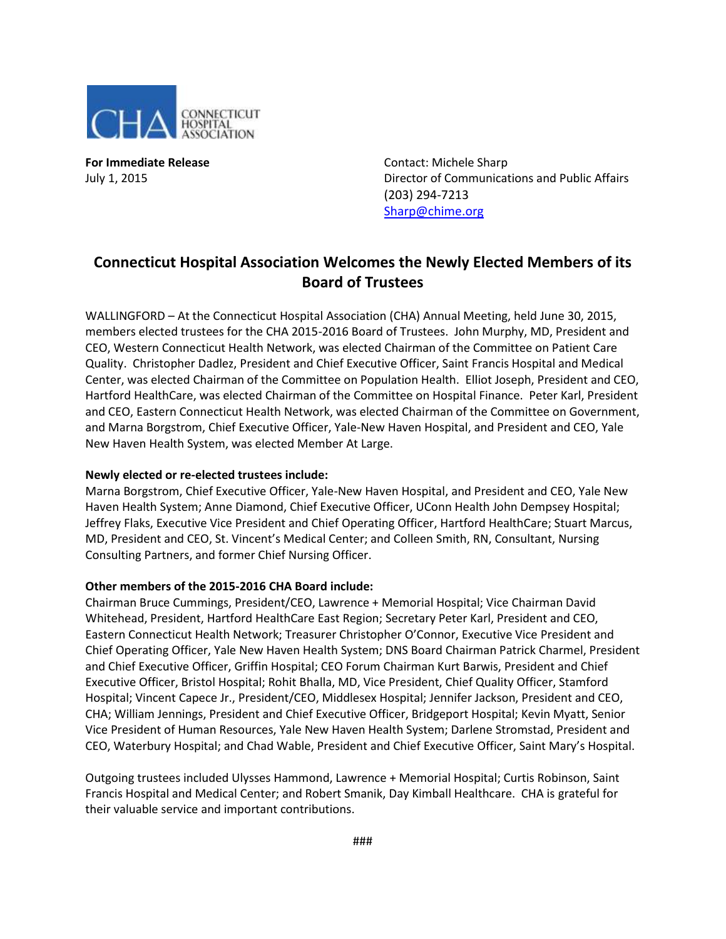

**For Immediate Release Contact: Michele Sharp** 

July 1, 2015 Director of Communications and Public Affairs (203) 294-7213 [Sharp@chime.org](mailto:Sharp@chime.org)

## **Connecticut Hospital Association Welcomes the Newly Elected Members of its Board of Trustees**

WALLINGFORD – At the Connecticut Hospital Association (CHA) Annual Meeting, held June 30, 2015, members elected trustees for the CHA 2015-2016 Board of Trustees. John Murphy, MD, President and CEO, Western Connecticut Health Network, was elected Chairman of the Committee on Patient Care Quality. Christopher Dadlez, President and Chief Executive Officer, Saint Francis Hospital and Medical Center, was elected Chairman of the Committee on Population Health. Elliot Joseph, President and CEO, Hartford HealthCare, was elected Chairman of the Committee on Hospital Finance. Peter Karl, President and CEO, Eastern Connecticut Health Network, was elected Chairman of the Committee on Government, and Marna Borgstrom, Chief Executive Officer, Yale-New Haven Hospital, and President and CEO, Yale New Haven Health System, was elected Member At Large.

## **Newly elected or re-elected trustees include:**

Marna Borgstrom, Chief Executive Officer, Yale-New Haven Hospital, and President and CEO, Yale New Haven Health System; Anne Diamond, Chief Executive Officer, UConn Health John Dempsey Hospital; Jeffrey Flaks, Executive Vice President and Chief Operating Officer, Hartford HealthCare; Stuart Marcus, MD, President and CEO, St. Vincent's Medical Center; and Colleen Smith, RN, Consultant, Nursing Consulting Partners, and former Chief Nursing Officer.

## **Other members of the 2015-2016 CHA Board include:**

Chairman Bruce Cummings, President/CEO, Lawrence + Memorial Hospital; Vice Chairman David Whitehead, President, Hartford HealthCare East Region; Secretary Peter Karl, President and CEO, Eastern Connecticut Health Network; Treasurer Christopher O'Connor, Executive Vice President and Chief Operating Officer, Yale New Haven Health System; DNS Board Chairman Patrick Charmel, President and Chief Executive Officer, Griffin Hospital; CEO Forum Chairman Kurt Barwis, President and Chief Executive Officer, Bristol Hospital; Rohit Bhalla, MD, Vice President, Chief Quality Officer, Stamford Hospital; Vincent Capece Jr., President/CEO, Middlesex Hospital; Jennifer Jackson, President and CEO, CHA; William Jennings, President and Chief Executive Officer, Bridgeport Hospital; Kevin Myatt, Senior Vice President of Human Resources, Yale New Haven Health System; Darlene Stromstad, President and CEO, Waterbury Hospital; and Chad Wable, President and Chief Executive Officer, Saint Mary's Hospital.

Outgoing trustees included Ulysses Hammond, Lawrence + Memorial Hospital; Curtis Robinson, Saint Francis Hospital and Medical Center; and Robert Smanik, Day Kimball Healthcare. CHA is grateful for their valuable service and important contributions.